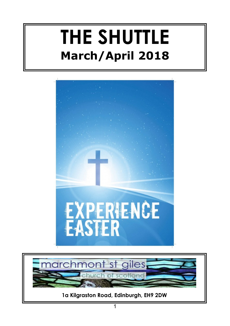# **THE SHUTTLE March/April 2018**



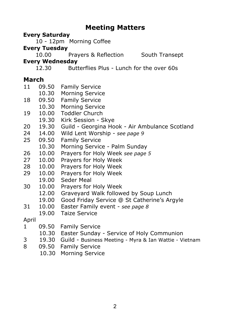#### **Meeting Matters**

#### **Every Saturday**

10 - 12pm Morning Coffee

#### **Every Tuesday**

10.00 Prayers & Reflection South Transept

#### **Every Wednesday**

12.30 Butterflies Plus - Lunch for the over 60s

- **March**<br>11 09.50 11 09.50 Family Service
- 10.30 Morning Service<br>09.50 Family Service
- 18 09.50 Family Service
- 10.30 Morning Service
- 19 10.00 Toddler Church
- 19.30 Kirk Session Skye
- 20 19.30 Guild Georgina Hook Air Ambulance Scotland
- 24 14.00 Wild Lent Worship *see page 9*
- 25 09.50 Family Service
- 10.30 Morning Service Palm Sunday
- 26 10.00 Prayers for Holy Week *see page 5*
- 27 10.00 Prayers for Holy Week
- 28 10.00 Prayers for Holy Week
- 29 10.00 Prayers for Holy Week
	- 19.00 Seder Meal
- 30 10.00 Prayers for Holy Week
	- 12.00 Graveyard Walk followed by Soup Lunch
	- 19.00 Good Friday Service @ St Catherine's Argyle
- 31 10.00 Easter Family event *see page 8*
	- 19.00 Taize Service

#### April

- 1 09.50 Family Service
	- 10.30 Easter Sunday Service of Holy Communion
- 3 19.30 Guild Business Meeting Myra & Ian Wattie Vietnam
- 8 09.50 Family Service
	- 10.30 Morning Service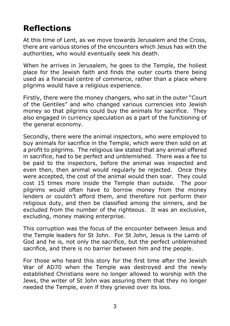# **Reflections**

At this time of Lent, as we move towards Jerusalem and the Cross, there are various stories of the encounters which Jesus has with the authorities, who would eventually seek his death.

When he arrives in Jerusalem, he goes to the Temple, the holiest place for the Jewish faith and finds the outer courts there being used as a financial centre of commerce, rather than a place where pilgrims would have a religious experience.

Firstly, there were the money changers, who sat in the outer "Court of the Gentiles" and who changed various currencies into Jewish money so that pilgrims could buy the animals for sacrifice. They also engaged in currency speculation as a part of the functioning of the general economy.

Secondly, there were the animal inspectors, who were employed to buy animals for sacrifice in the Temple, which were then sold on at a profit to pilgrims. The religious law stated that any animal offered in sacrifice, had to be perfect and unblemished. There was a fee to be paid to the inspectors, before the animal was inspected and even then, then animal would regularly be rejected. Once they were accepted, the cost of the animal would then soar. They could cost 15 times more inside the Temple than outside. The poor pilgrims would often have to borrow money from the money lenders or couldn't afford them, and therefore not perform their religious duty, and then be classified among the sinners, and be excluded from the number of the righteous. It was an exclusive, excluding, money making enterprise.

This corruption was the focus of the encounter between Jesus and the Temple leaders for St John. For St John, Jesus is the Lamb of God and he is, not only the sacrifice, but the perfect unblemished sacrifice, and there is no barrier between him and the people.

For those who heard this story for the first time after the Jewish War of AD70 when the Temple was destroyed and the newly established Christians were no longer allowed to worship with the Jews, the writer of St John was assuring them that they no longer needed the Temple, even if they grieved over its loss.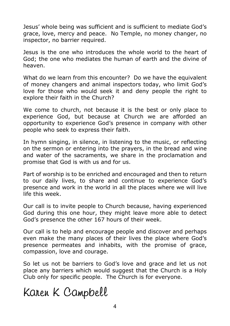Jesus' whole being was sufficient and is sufficient to mediate God's grace, love, mercy and peace. No Temple, no money changer, no inspector, no barrier required.

Jesus is the one who introduces the whole world to the heart of God; the one who mediates the human of earth and the divine of heaven.

What do we learn from this encounter? Do we have the equivalent of money changers and animal inspectors today, who limit God's love for those who would seek it and deny people the right to explore their faith in the Church?

We come to church, not because it is the best or only place to experience God, but because at Church we are afforded an opportunity to experience God's presence in company with other people who seek to express their faith.

In hymn singing, in silence, in listening to the music, or reflecting on the sermon or entering into the prayers, in the bread and wine and water of the sacraments, we share in the proclamation and promise that God is with us and for us.

Part of worship is to be enriched and encouraged and then to return to our daily lives, to share and continue to experience God's presence and work in the world in all the places where we will live life this week.

Our call is to invite people to Church because, having experienced God during this one hour, they might leave more able to detect God's presence the other 167 hours of their week.

Our call is to help and encourage people and discover and perhaps even make the many places of their lives the place where God's presence permeates and inhabits, with the promise of grace, compassion, love and courage.

So let us not be barriers to God's love and grace and let us not place any barriers which would suggest that the Church is a Holy Club only for specific people. The Church is for everyone.

# Karen K Campbell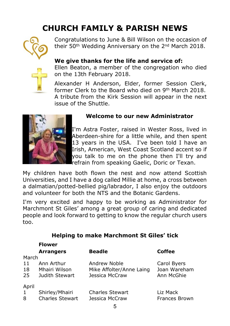# **CHURCH FAMILY & PARISH NEWS**



Congratulations to June & Bill Wilson on the occasion of their 50th Wedding Anniversary on the 2nd March 2018.



#### **We give thanks for the life and service of:**

Ellen Beaton, a member of the congregation who died on the 13th February 2018.

Alexander H Anderson, Elder, former Session Clerk, former Clerk to the Board who died on 9th March 2018. A tribute from the Kirk Session will appear in the next issue of the Shuttle.



#### **Welcome to our new Administrator**

I'm Astra Foster, raised in Wester Ross, lived in Aberdeen-shire for a little while, and then spent 13 years in the USA. I've been told I have an Irish, American, West Coast Scotland accent so if you talk to me on the phone then I'll try and refrain from speaking Gaelic, Doric or Texan.

My children have both flown the nest and now attend Scottish Universities, and I have a dog called Millie at home, a cross between a dalmatian/potted-bellied pig/labrador, I also enjoy the outdoors and volunteer for both the NTS and the Botanic Gardens.

I'm very excited and happy to be working as Administrator for Marchmont St Giles' among a great group of caring and dedicated people and look forward to getting to know the regular church users too.

|  |  |  | <b>Helping to make Marchmont St Giles' tick</b> |  |
|--|--|--|-------------------------------------------------|--|
|--|--|--|-------------------------------------------------|--|

|              | <b>Flower</b>          |                          |               |  |  |
|--------------|------------------------|--------------------------|---------------|--|--|
|              | <b>Arrangers</b>       | <b>Beadle</b>            | Coffee        |  |  |
| March        |                        |                          |               |  |  |
| 11           | Ann Arthur             | Andrew Noble             | Carol Byers   |  |  |
| 18           | Mhairi Wilson          | Mike Affolter/Anne Laing | Joan Wareham  |  |  |
| 25           | Judith Stewart         | Jessica McCraw           | Ann McGhie    |  |  |
| April        |                        |                          |               |  |  |
| $\mathbf{1}$ | Shirley/Mhairi         | <b>Charles Stewart</b>   | Liz Mack      |  |  |
| 8            | <b>Charles Stewart</b> | Jessica McCraw           | Frances Brown |  |  |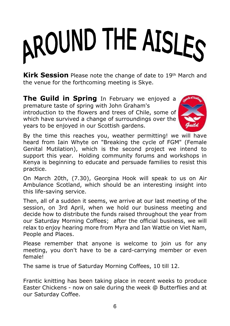# AROUND THE AISLES

**Kirk Session** Please note the change of date to 19th March and the venue for the forthcoming meeting is Skye.

**The Guild in Spring** In February we enjoyed a premature taste of spring with John Graham's introduction to the flowers and trees of Chile, some of which have survived a change of surroundings over the years to be enjoyed in our Scottish gardens.



By the time this reaches you, weather permitting! we will have heard from Iain Whyte on "Breaking the cycle of FGM" (Female Genital Mutilation), which is the second project we intend to support this year. Holding community forums and workshops in Kenya is beginning to educate and persuade families to resist this practice.

On March 20th, (7.30), Georgina Hook will speak to us on Air Ambulance Scotland, which should be an interesting insight into this life-saving service.

Then, all of a sudden it seems, we arrive at our last meeting of the session, on 3rd April, when we hold our business meeting and decide how to distribute the funds raised throughout the year from our Saturday Morning Coffees; after the official business, we will relax to enjoy hearing more from Myra and Ian Wattie on Viet Nam, People and Places.

Please remember that anyone is welcome to join us for any meeting, you don't have to be a card-carrying member or even female!

The same is true of Saturday Morning Coffees, 10 till 12.

Frantic knitting has been taking place in recent weeks to produce Easter Chickens - now on sale during the week @ Butterflies and at our Saturday Coffee.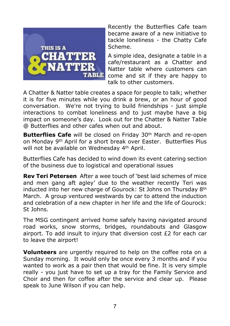

Recently the Butterflies Cafe team became aware of a new initiative to tackle loneliness - the Chatty Cafe Scheme.

A simple idea, designate a table in a cafe/restaurant as a Chatter and Natter table where customers can come and sit if they are happy to talk to other customers.

A Chatter & Natter table creates a space for people to talk; whether it is for five minutes while you drink a brew, or an hour of good conversation. We're not trying to build friendships - just simple interactions to combat loneliness and to just maybe have a big impact on someone's day. Look out for the Chatter & Natter Table @ Butterflies and other cafes when out and about.

**Butterflies Cafe** will be closed on Friday 30<sup>th</sup> March and re-open on Monday 9th April for a short break over Easter. Butterflies Plus will not be available on Wednesday 4th April.

Butterflies Cafe has decided to wind down its event catering section of the business due to logistical and operational issues

**Rev Teri Petersen** After a wee touch of 'best laid schemes of mice and men gang aft agley' due to the weather recently Teri was inducted into her new charge of Gourock: St Johns on Thursday 8<sup>th</sup> March. A group ventured westwards by car to attend the induction and celebration of a new chapter in her life and the life of Gourock: St Johns.

The MSG contingent arrived home safely having navigated around road works, snow storms, bridges, roundabouts and Glasgow airport. To add insult to injury that diversion cost  $E2$  for each car to leave the airport!

**Volunteers** are urgently required to help on the coffee rota on a Sunday morning. It would only be once every 3 months and if you wanted to work as a pair then that would be fine. It is very simple really - you just have to set up a tray for the Family Service and Choir and then for coffee after the service and clear up. Please speak to June Wilson if you can help.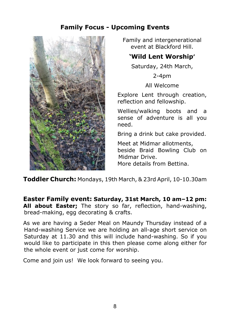#### **Family Focus - Upcoming Events**



Family and intergenerational event at Blackford Hill.

#### **'Wild Lent Worship'**

Saturday, 24th March,

2-4pm

All Welcome

Explore Lent through creation, reflection and fellowship.

Wellies/walking boots and a sense of adventure is all you need.

Bring a drink but cake provided.

Meet at Midmar allotments, beside Braid Bowling Club on Midmar Drive. More details from Bettina.

**Toddler Church:** Mondays, 19th March, & 23rd April, 10-10.30am

**Easter Family event: Saturday, 31st March, 10 am–12 pm: All about Easter;** The story so far, reflection, hand-washing, bread-making, egg decorating & crafts.

As we are having a Seder Meal on Maundy Thursday instead of a Hand-washing Service we are holding an all-age short service on Saturday at 11.30 and this will include hand-washing. So if you would like to participate in this then please come along either for the whole event or just come for worship.

Come and join us! We look forward to seeing you.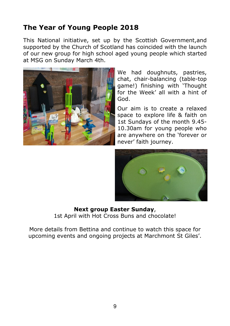### **The Year of Young People 2018**

This National initiative, set up by the Scottish Government,and supported by the Church of Scotland has coincided with the launch of our new group for high school aged young people which started at MSG on Sunday March 4th.



We had doughnuts, pastries, chat, chair-balancing (table-top game!) finishing with 'Thought for the Week' all with a hint of God.

Our aim is to create a relaxed space to explore life & faith on 1st Sundays of the month 9.45- 10.30am for young people who are anywhere on the 'forever or never' faith journey.



#### **Next group Easter Sunday**, 1st April with Hot Cross Buns and chocolate!

More details from Bettina and continue to watch this space for upcoming events and ongoing projects at Marchmont St Giles'.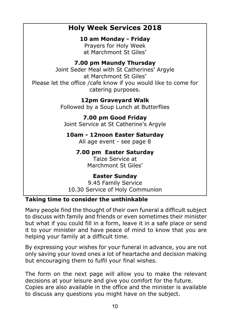#### **Holy Week Services 2018**

**10 am Monday - Friday**

Prayers for Holy Week at Marchmont St Giles'

#### **7.00 pm Maundy Thursday**

Joint Seder Meal with St Catherines' Argyle at Marchmont St Giles' Please let the office /cafe know if you would like to come for catering purposes.

> **12pm Graveyard Walk** Followed by a Soup Lunch at Butterflies

**7.00 pm Good Friday** Joint Service at St Catherine's Argyle

**10am - 12noon Easter Saturday**

All age event - see page 8

**7.00 pm Easter Saturday**

Taize Service at Marchmont St Giles'

#### **Easter Sunday**

9.45 Family Service 10.30 Service of Holy Communion

#### **Taking time to consider the unthinkable**

Many people find the thought of their own funeral a difficult subject to discuss with family and friends or even sometimes their minister but what if you could fill in a form, leave it in a safe place or send it to your minister and have peace of mind to know that you are helping your family at a difficult time.

By expressing your wishes for your funeral in advance, you are not only saving your loved ones a lot of heartache and decision making but encouraging them to fulfil your final wishes.

The form on the next page will allow you to make the relevant decisions at your leisure and give you comfort for the future. Copies are also available in the office and the minister is available to discuss any questions you might have on the subject.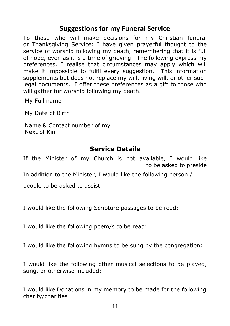#### **Suggestions for my Funeral Service**

To those who will make decisions for my Christian funeral or Thanksgiving Service: I have given prayerful thought to the service of worship following my death, remembering that it is full of hope, even as it is a time of grieving. The following express my preferences. I realise that circumstances may apply which will make it impossible to fulfil every suggestion. This information supplements but does not replace my will, living will, or other such legal documents. I offer these preferences as a gift to those who will gather for worship following my death.

My Full name

My Date of Birth

Name & Contact number of my Next of Kin

#### **Service Details**

If the Minister of my Church is not available, I would like \_\_\_\_\_\_\_\_\_\_\_\_\_\_\_\_\_\_\_\_\_\_\_\_\_\_\_\_\_\_\_\_\_\_\_ to be asked to preside

In addition to the Minister, I would like the following person /

people to be asked to assist.

I would like the following Scripture passages to be read:

I would like the following poem/s to be read:

I would like the following hymns to be sung by the congregation:

I would like the following other musical selections to be played, sung, or otherwise included:

I would like Donations in my memory to be made for the following charity/charities: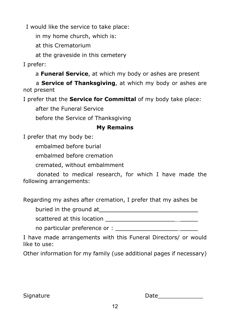I would like the service to take place:

in my home church, which is:

at this Crematorium

at the graveside in this cemetery

I prefer:

a **Funeral Service**, at which my body or ashes are present

a **Service of Thanksgiving**, at which my body or ashes are not present

I prefer that the **Service for Committal** of my body take place:

after the Funeral Service

before the Service of Thanksgiving

#### **My Remains**

I prefer that my body be:

embalmed before burial

embalmed before cremation

cremated, without embalmment

donated to medical research, for which I have made the following arrangements:

Regarding my ashes after cremation, I prefer that my ashes be

buried in the ground at \_\_\_\_\_\_\_\_\_\_\_\_\_\_\_\_\_\_\_\_\_\_ \_\_\_\_\_

scattered at this location **EXALLER ENGLISHER ENGLISHER ENGLISHER ENGLISHER ENGLISHER ENGLISHER ENGLISHER ENGLISHER** 

no particular preference or :

I have made arrangements with this Funeral Directors/ or would like to use:

Other information for my family (use additional pages if necessary)

Signature Date\_\_\_\_\_\_\_\_\_\_\_\_\_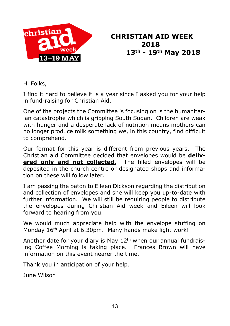

## **CHRISTIAN AID WEEK 2018 13<sup>th</sup> - 19<sup>th</sup> May 2018**<br>19 MAY

Hi Folks,

I find it hard to believe it is a year since I asked you for your help in fund-raising for Christian Aid.

One of the projects the Committee is focusing on is the humanitarian catastrophe which is gripping South Sudan. Children are weak with hunger and a desperate lack of nutrition means mothers can no longer produce milk something we, in this country, find difficult to comprehend.

Our format for this year is different from previous years. The Christian aid Committee decided that envelopes would be **delivered only and not collected.** The filled envelopes will be deposited in the church centre or designated shops and information on these will follow later.

I am passing the baton to Eileen Dickson regarding the distribution and collection of envelopes and she will keep you up-to-date with further information. We will still be requiring people to distribute the envelopes during Christian Aid week and Eileen will look forward to hearing from you.

We would much appreciate help with the envelope stuffing on Monday 16<sup>th</sup> April at 6.30pm. Many hands make light work!

Another date for your diary is May 12th when our annual fundraising Coffee Morning is taking place. Frances Brown will have information on this event nearer the time.

Thank you in anticipation of your help.

June Wilson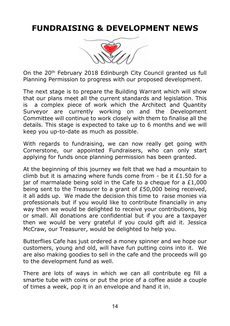# **FUNDRAISING & DEVELOPMENT NEWS**



On the 20th February 2018 Edinburgh City Council granted us full Planning Permission to progress with our proposed development.

The next stage is to prepare the Building Warrant which will show that our plans meet all the current standards and legislation. This is a complex piece of work which the Architect and Quantity Surveyor are currently working on and the Development Committee will continue to work closely with them to finalise all the details. This stage is expected to take up to 6 months and we will keep you up-to-date as much as possible.

With regards to fundraising, we can now really get going with Cornerstone, our appointed Fundraisers, who can only start applying for funds once planning permission has been granted.

At the beginning of this journey we felt that we had a mountain to climb but it is amazing where funds come from - be it £1.50 for a jar of marmalade being sold in the Cafe to a cheque for a £1,000 being sent to the Treasurer to a grant of £50,000 being received, it all adds up. We made the decision this time to raise monies via professionals but if you would like to contribute financially in any way then we would be delighted to receive your contributions, big or small. All donations are confidential but if you are a taxpayer then we would be very grateful if you could gift aid it. Jessica McCraw, our Treasurer, would be delighted to help you.

Butterflies Cafe has just ordered a money spinner and we hope our customers, young and old, will have fun putting coins into it. We are also making goodies to sell in the cafe and the proceeds will go to the development fund as well.

There are lots of ways in which we can all contribute eg fill a smartie tube with coins or put the price of a coffee aside a couple of times a week, pop it in an envelope and hand it in.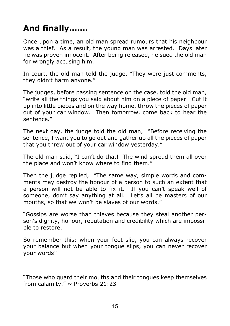# **And finally…….**

Once upon a time, an old man spread rumours that his neighbour was a thief. As a result, the young man was arrested. Days later he was proven innocent. After being released, he sued the old man for wrongly accusing him.

In court, the old man told the judge, "They were just comments, they didn't harm anyone."

The judges, before passing sentence on the case, told the old man, "write all the things you said about him on a piece of paper. Cut it up into little pieces and on the way home, throw the pieces of paper out of your car window. Then tomorrow, come back to hear the sentence."

The next day, the judge told the old man, "Before receiving the sentence, I want you to go out and gather up all the pieces of paper that you threw out of your car window yesterday."

The old man said, "I can't do that! The wind spread them all over the place and won't know where to find them."

Then the judge replied, "The same way, simple words and comments may destroy the honour of a person to such an extent that a person will not be able to fix it. If you can't speak well of someone, don't say anything at all. Let's all be masters of our mouths, so that we won't be slaves of our words."

"Gossips are worse than thieves because they steal another person's dignity, honour, reputation and credibility which are impossible to restore.

So remember this: when your feet slip, you can always recover your balance but when your tongue slips, you can never recover your words!"

"Those who guard their mouths and their tongues keep themselves from calamity."  $\sim$  Proverbs 21:23